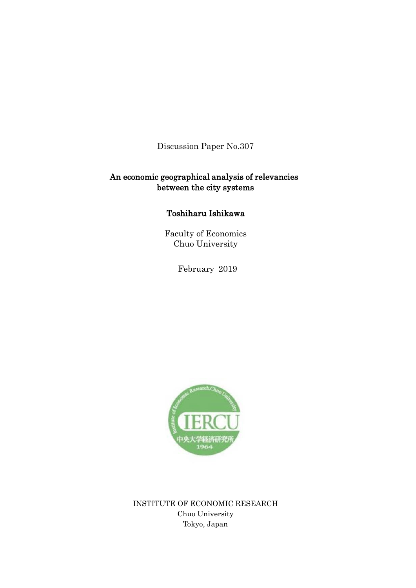Discussion Paper No.307

# An economic geographical analysis of relevancies between the city systems

# Toshiharu Ishikawa

Faculty of Economics Chuo University

February 2019



INSTITUTE OF ECONOMIC RESEARCH Chuo University Tokyo, Japan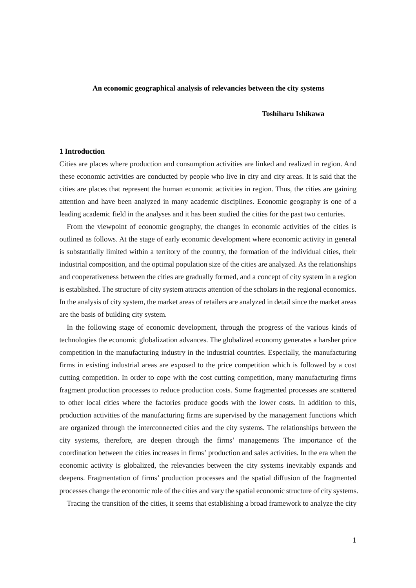### **An economic geographical analysis of relevancies between the city systems**

### **Toshiharu Ishikawa**

### **1 Introduction**

Cities are places where production and consumption activities are linked and realized in region. And these economic activities are conducted by people who live in city and city areas. It is said that the cities are places that represent the human economic activities in region. Thus, the cities are gaining attention and have been analyzed in many academic disciplines. Economic geography is one of a leading academic field in the analyses and it has been studied the cities for the past two centuries.

From the viewpoint of economic geography, the changes in economic activities of the cities is outlined as follows. At the stage of early economic development where economic activity in general is substantially limited within a territory of the country, the formation of the individual cities, their industrial composition, and the optimal population size of the cities are analyzed. As the relationships and cooperativeness between the cities are gradually formed, and a concept of city system in a region is established. The structure of city system attracts attention of the scholars in the regional economics. In the analysis of city system, the market areas of retailers are analyzed in detail since the market areas are the basis of building city system.

In the following stage of economic development, through the progress of the various kinds of technologies the economic globalization advances. The globalized economy generates a harsher price competition in the manufacturing industry in the industrial countries. Especially, the manufacturing firms in existing industrial areas are exposed to the price competition which is followed by a cost cutting competition. In order to cope with the cost cutting competition, many manufacturing firms fragment production processes to reduce production costs. Some fragmented processes are scattered to other local cities where the factories produce goods with the lower costs. In addition to this, production activities of the manufacturing firms are supervised by the management functions which are organized through the interconnected cities and the city systems. The relationships between the city systems, therefore, are deepen through the firms' managements The importance of the coordination between the cities increases in firms' production and sales activities. In the era when the economic activity is globalized, the relevancies between the city systems inevitably expands and deepens. Fragmentation of firms' production processes and the spatial diffusion of the fragmented processes change the economic role of the cities and vary the spatial economic structure of city systems.

Tracing the transition of the cities, it seems that establishing a broad framework to analyze the city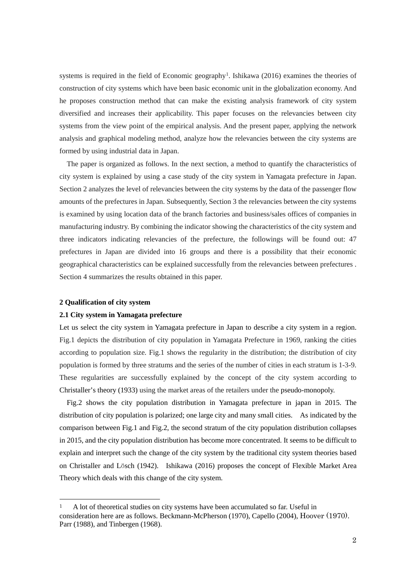systems is required in the field of Economic geography<sup>[1](#page-2-0)</sup>. Ishikawa (2016) examines the theories of construction of city systems which have been basic economic unit in the globalization economy. And he proposes construction method that can make the existing analysis framework of city system diversified and increases their applicability. This paper focuses on the relevancies between city systems from the view point of the empirical analysis. And the present paper, applying the network analysis and graphical modeling method, analyze how the relevancies between the city systems are formed by using industrial data in Japan.

The paper is organized as follows. In the next section, a method to quantify the characteristics of city system is explained by using a case study of the city system in Yamagata prefecture in Japan. Section 2 analyzes the level of relevancies between the city systems by the data of the passenger flow amounts of the prefectures in Japan. Subsequently, Section 3 the relevancies between the city systems is examined by using location data of the branch factories and business/sales offices of companies in manufacturing industry. By combining the indicator showing the characteristics of the city system and three indicators indicating relevancies of the prefecture, the followings will be found out: 47 prefectures in Japan are divided into 16 groups and there is a possibility that their economic geographical characteristics can be explained successfully from the relevancies between prefectures . Section 4 summarizes the results obtained in this paper.

## **2 Qualification of city system**

#### **2.1 City system in Yamagata prefecture**

Let us select the city system in Yamagata prefecture in Japan to describe a city system in a region. Fig.1 depicts the distribution of city population in Yamagata Prefecture in 1969, ranking the cities according to population size. Fig.1 shows the regularity in the distribution; the distribution of city population is formed by three stratums and the series of the number of cities in each stratum is 1-3-9. These regularities are successfully explained by the concept of the city system according to Christaller's theory (1933) using the market areas of the retailers under the pseudo-monopoly.

Fig.2 shows the city population distribution in Yamagata prefecture in japan in 2015. The distribution of city population is polarized; one large city and many small cities. As indicated by the comparison between Fig.1 and Fig.2, the second stratum of the city population distribution collapses in 2015, and the city population distribution has become more concentrated. It seems to be difficult to explain and interpret such the change of the city system by the traditional city system theories based on Christaller and Lӧsch (1942). Ishikawa (2016) proposes the concept of Flexible Market Area Theory which deals with this change of the city system.

<span id="page-2-0"></span> <sup>1</sup> A lot of theoretical studies on city systems have been accumulated so far. Useful in consideration here are as follows. Beckmann-McPherson (1970), Capello (2004), Hoover (1970). Parr (1988), and Tinbergen (1968).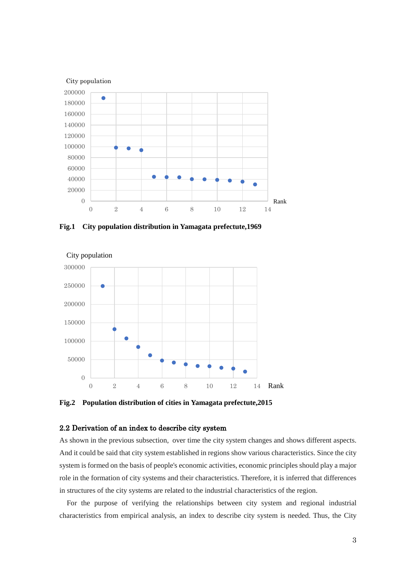

**Fig.1 City population distribution in Yamagata prefectute,1969**



**Fig.2 Population distribution of cities in Yamagata prefectute,2015**

# 2.2 Derivation of an index to describe city system

As shown in the previous subsection, over time the city system changes and shows different aspects. And it could be said that city system established in regions show various characteristics. Since the city system is formed on the basis of people's economic activities, economic principles should play a major role in the formation of city systems and their characteristics. Therefore, it is inferred that differences in structures of the city systems are related to the industrial characteristics of the region.

For the purpose of verifying the relationships between city system and regional industrial characteristics from empirical analysis, an index to describe city system is needed. Thus, the City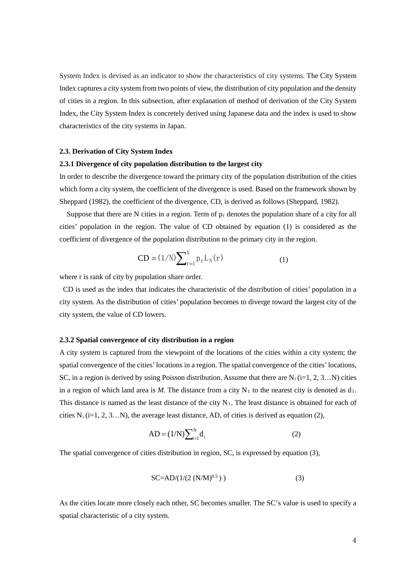System Index is devised as an indicator to show the characteristics of city systems. The City System Index captures a city system from two points of view, the distribution of city population and the density of cities in a region. In this subsection, after explanation of method of derivation of the City System Index, the City System Index is concretely derived using Japanese data and the index is used to show characteristics of the city systems in Japan.

### **2.3. Derivation of City System Index**

### **2.3.1 Divergence of city population distribution to the largest city**

In order to describe the divergence toward the primary city of the population distribution of the cities which form a city system, the coefficient of the divergence is used. Based on the framework shown by Sheppard (1982), the coefficient of the divergence, CD, is derived as follows (Sheppard, 1982).

Suppose that there are N cities in a region. Term of  $p_r$  denotes the population share of a city for all cities' population in the region. The value of CD obtained by equation (1) is considered as the coefficient of divergence of the population distribution to the primary city in the region.

$$
CD = (1/N) \sum\nolimits_{r=1}^{N} p_r L_N(r)
$$
\n(1)

where r is rank of city by population share order.

CD is used as the index that indicates the characteristic of the distribution of cities' population in a city system. As the distribution of cities' population becomes to diverge toward the largest city of the city system, the value of CD lowers.

### **2.3.2 Spatial convergence of city distribution in a region**

A city system is captured from the viewpoint of the locations of the cities within a city system; the spatial convergence of the cities' locations in a region. The spatial convergence of the cities' locations, SC, in a region is derived by using Poisson distribution. Assume that there are  $N_i$  (i=1, 2, 3…N) cities in a region of which land area is  $M$ . The distance from a city  $N_1$  to the nearest city is denoted as  $d_1$ . This distance is named as the least distance of the city  $N_1$ . The least distance is obtained for each of cities  $N_i$  (i=1, 2, 3…N), the average least distance, AD, of cities is derived as equation (2),

$$
AD = (1/N) \sum_{i=1}^{N} d_i
$$
 (2)

The spatial convergence of cities distribution in region, SC, is expressed by equation (3),

$$
SC=AD/(1/(2 (N/M)^{0.5}))
$$
 (3)

As the cities locate more closely each other, SC becomes smaller. The SC's value is used to specify a spatial characteristic of a city system.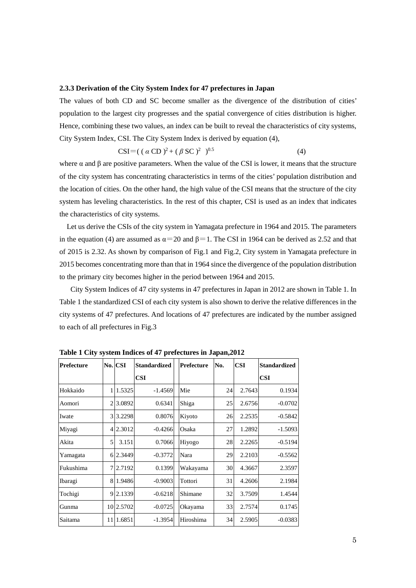## **2.3.3 Derivation of the City System Index for 47 prefectures in Japan**

The values of both CD and SC become smaller as the divergence of the distribution of cities' population to the largest city progresses and the spatial convergence of cities distribution is higher. Hence, combining these two values, an index can be built to reveal the characteristics of city systems, City System Index, CSI. The City System Index is derived by equation (4),

$$
CSI = ((\alpha CD)^2 + (\beta SC)^2)^{0.5}
$$
 (4)

where  $\alpha$  and  $\beta$  are positive parameters. When the value of the CSI is lower, it means that the structure of the city system has concentrating characteristics in terms of the cities' population distribution and the location of cities. On the other hand, the high value of the CSI means that the structure of the city system has leveling characteristics. In the rest of this chapter, CSI is used as an index that indicates the characteristics of city systems.

Let us derive the CSIs of the city system in Yamagata prefecture in 1964 and 2015. The parameters in the equation (4) are assumed as  $\alpha$ =20 and  $\beta$ =1. The CSI in 1964 can be derived as 2.52 and that of 2015 is 2.32. As shown by comparison of Fig.1 and Fig.2, City system in Yamagata prefecture in 2015 becomes concentrating more than that in 1964 since the divergence of the population distribution to the primary city becomes higher in the period between 1964 and 2015.

City System Indices of 47 city systems in 47 prefectures in Japan in 2012 are shown in Table 1. In Table 1 the standardized CSI of each city system is also shown to derive the relative differences in the city systems of 47 prefectures. And locations of 47 prefectures are indicated by the number assigned to each of all prefectures in Fig.3

| <b>Prefecture</b> |    | No. CSI   | <b>Standardized</b> | Prefecture | No. | <b>CSI</b> | <b>Standardized</b> |
|-------------------|----|-----------|---------------------|------------|-----|------------|---------------------|
|                   |    |           | CSI                 |            |     |            | <b>CSI</b>          |
| Hokkaido          |    | 1.5325    | $-1.4569$           | Mie        | 24  | 2.7643     | 0.1934              |
| Aomori            |    | 3.0892    | 0.6341              | Shiga      | 25  | 2.6756     | $-0.0702$           |
| Iwate             | 3  | 3.2298    | 0.8076              | Kiyoto     | 26  | 2.2535     | $-0.5842$           |
| Miyagi            | 4  | 2.3012    | $-0.4266$           | Osaka      | 27  | 1.2892     | $-1.5093$           |
| Akita             | 5  | 3.151     | 0.7066              | Hiyogo     | 28  | 2.2265     | $-0.5194$           |
| Yamagata          |    | 6 2.3449  | $-0.3772$           | Nara       | 29  | 2.2103     | $-0.5562$           |
| Fukushima         |    | 2.7192    | 0.1399              | Wakayama   | 30  | 4.3667     | 2.3597              |
| Ibaragi           |    | 8 1.9486  | $-0.9003$           | Tottori    | 31  | 4.2606     | 2.1984              |
| Tochigi           |    | 9 2.1339  | $-0.6218$           | Shimane    | 32  | 3.7509     | 1.4544              |
| Gunma             |    | 10 2.5702 | $-0.0725$           | Okayama    | 33  | 2.7574     | 0.1745              |
| Saitama           | 11 | 1.6851    | $-1.3954$           | Hiroshima  | 34  | 2.5905     | $-0.0383$           |

**Table 1 City system Indices of 47 prefectures in Japan,2012**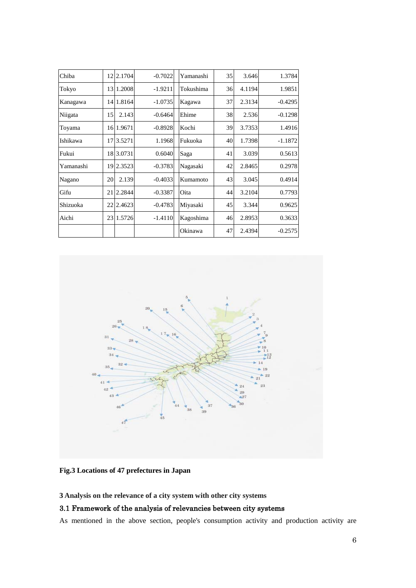| Chiba     | 12 | 2.1704    | $-0.7022$ | Yamanashi | 35 | 3.646  | 1.3784    |
|-----------|----|-----------|-----------|-----------|----|--------|-----------|
| Tokyo     | 13 | 1.2008    | $-1.9211$ | Tokushima | 36 | 4.1194 | 1.9851    |
| Kanagawa  | 14 | 1.8164    | $-1.0735$ | Kagawa    | 37 | 2.3134 | $-0.4295$ |
| Niigata   | 15 | 2.143     | $-0.6464$ | Ehime     | 38 | 2.536  | $-0.1298$ |
| Toyama    |    | 16 1.9671 | $-0.8928$ | Kochi     | 39 | 3.7353 | 1.4916    |
| Ishikawa  | 17 | 3.5271    | 1.1968    | Fukuoka   | 40 | 1.7398 | $-1.1872$ |
| Fukui     |    | 18 3.0731 | 0.6040    | Saga      | 41 | 3.039  | 0.5613    |
| Yamanashi | 19 | 2.3523    | $-0.3783$ | Nagasaki  | 42 | 2.8465 | 0.2978    |
| Nagano    | 20 | 2.139     | $-0.4033$ | Kumamoto  | 43 | 3.045  | 0.4914    |
| Gifu      | 21 | 2.2844    | $-0.3387$ | Oita      | 44 | 3.2104 | 0.7793    |
| Shizuoka  | 22 | 2.4623    | $-0.4783$ | Miyasaki  | 45 | 3.344  | 0.9625    |
| Aichi     | 23 | 1.5726    | $-1.4110$ | Kagoshima | 46 | 2.8953 | 0.3633    |
|           |    |           |           | Okinawa   | 47 | 2.4394 | $-0.2575$ |



**Fig.3 Locations of 47 prefectures in Japan**

**3 Analysis on the relevance of a city system with other city systems**

# 3.1 Framework of the analysis of relevancies between city systems

As mentioned in the above section, people's consumption activity and production activity are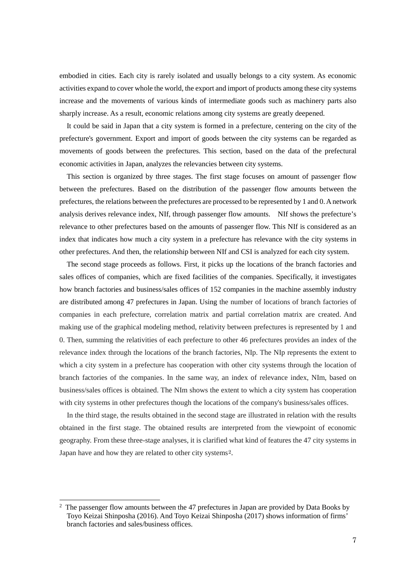embodied in cities. Each city is rarely isolated and usually belongs to a city system. As economic activities expand to cover whole the world, the export and import of products among these city systems increase and the movements of various kinds of intermediate goods such as machinery parts also sharply increase. As a result, economic relations among city systems are greatly deepened.

 It could be said in Japan that a city system is formed in a prefecture, centering on the city of the prefecture's government. Export and import of goods between the city systems can be regarded as movements of goods between the prefectures. This section, based on the data of the prefectural economic activities in Japan, analyzes the relevancies between city systems.

 This section is organized by three stages. The first stage focuses on amount of passenger flow between the prefectures. Based on the distribution of the passenger flow amounts between the prefectures, the relations between the prefectures are processed to be represented by 1 and 0. A network analysis derives relevance index, NIf, through passenger flow amounts. NIf shows the prefecture's relevance to other prefectures based on the amounts of passenger flow. This NIf is considered as an index that indicates how much a city system in a prefecture has relevance with the city systems in other prefectures. And then, the relationship between NIf and CSI is analyzed for each city system.

The second stage proceeds as follows. First, it picks up the locations of the branch factories and sales offices of companies, which are fixed facilities of the companies. Specifically, it investigates how branch factories and business/sales offices of 152 companies in the machine assembly industry are distributed among 47 prefectures in Japan. Using the number of locations of branch factories of companies in each prefecture, correlation matrix and partial correlation matrix are created. And making use of the graphical modeling method, relativity between prefectures is represented by 1 and 0. Then, summing the relativities of each prefecture to other 46 prefectures provides an index of the relevance index through the locations of the branch factories, NIp. The NIp represents the extent to which a city system in a prefecture has cooperation with other city systems through the location of branch factories of the companies. In the same way, an index of relevance index, NIm, based on business/sales offices is obtained. The NIm shows the extent to which a city system has cooperation with city systems in other prefectures though the locations of the company's business/sales offices.

 In the third stage, the results obtained in the second stage are illustrated in relation with the results obtained in the first stage. The obtained results are interpreted from the viewpoint of economic geography. From these three-stage analyses, it is clarified what kind of features the 47 city systems in Japan have and how they are related to other city systems[2.](#page-7-0)

1

<span id="page-7-0"></span> $2$  The passenger flow amounts between the 47 prefectures in Japan are provided by Data Books by Toyo Keizai Shinposha (2016). And Toyo Keizai Shinposha (2017) shows information of firms' branch factories and sales/business offices.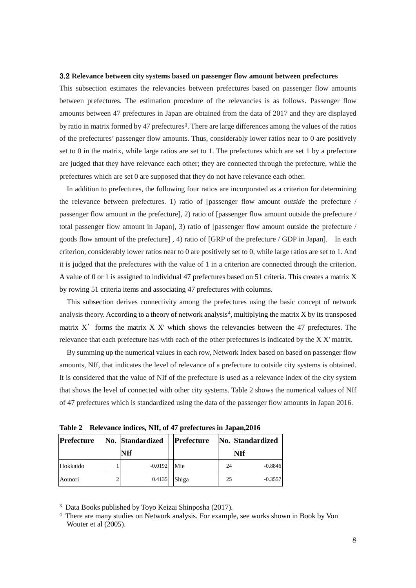### 3.2 **Relevance between city systems based on passenger flow amount between prefectures**

This subsection estimates the relevancies between prefectures based on passenger flow amounts between prefectures. The estimation procedure of the relevancies is as follows. Passenger flow amounts between 47 prefectures in Japan are obtained from the data of 2017 and they are displayed by ratio in matrix formed by 47 prefectures<sup>[3](#page-8-0)</sup>. There are large differences among the values of the ratios of the prefectures' passenger flow amounts. Thus, considerably lower ratios near to 0 are positively set to 0 in the matrix, while large ratios are set to 1. The prefectures which are set 1 by a prefecture are judged that they have relevance each other; they are connected through the prefecture, while the prefectures which are set 0 are supposed that they do not have relevance each other.

In addition to prefectures, the following four ratios are incorporated as a criterion for determining the relevance between prefectures. 1) ratio of [passenger flow amount *outside* the prefecture / passenger flow amount *in* the prefecture], 2) ratio of [passenger flow amount outside the prefecture / total passenger flow amount in Japan], 3) ratio of [passenger flow amount outside the prefecture / goods flow amount of the prefecture] , 4) ratio of [GRP of the prefecture / GDP in Japan]. In each criterion, considerably lower ratios near to 0 are positively set to 0, while large ratios are set to 1. And it is judged that the prefectures with the value of 1 in a criterion are connected through the criterion. A value of 0 or 1 is assigned to individual 47 prefectures based on 51 criteria. This creates a matrix X by rowing 51 criteria items and associating 47 prefectures with columns.

This subsection derives connectivity among the prefectures using the basic concept of network analysis theory. According to a theory of network analysis<sup>[4](#page-8-1)</sup>, multiplying the matrix  $X$  by its transposed matrix  $X'$  forms the matrix  $X$  X' which shows the relevancies between the 47 prefectures. The relevance that each prefecture has with each of the other prefectures is indicated by the X X' matrix.

By summing up the numerical values in each row, Network Index based on based on passenger flow amounts, NIf, that indicates the level of relevance of a prefecture to outside city systems is obtained. It is considered that the value of NIf of the prefecture is used as a relevance index of the city system that shows the level of connected with other city systems. Table 2 shows the numerical values of NIf of 47 prefectures which is standardized using the data of the passenger flow amounts in Japan 2016.

**Table 2 Relevance indices, NIf, of 47 prefectures in Japan,2016**

| <b>Prefecture</b> | No. Standardized |  | Prefecture |    | No. Standardized |
|-------------------|------------------|--|------------|----|------------------|
|                   | NIf              |  |            |    | NIf              |
| Hokkaido          | $-0.0192$        |  | Mie        | 24 | $-0.8846$        |
| Aomori            | 0.4135           |  | Shiga      | 25 | $-0.3557$        |

<span id="page-8-0"></span><sup>3</sup> Data Books published by Toyo Keizai Shinposha (2017).

1

<span id="page-8-1"></span><sup>4</sup> There are many studies on Network analysis. For example, see works shown in Book by Von Wouter et al (2005).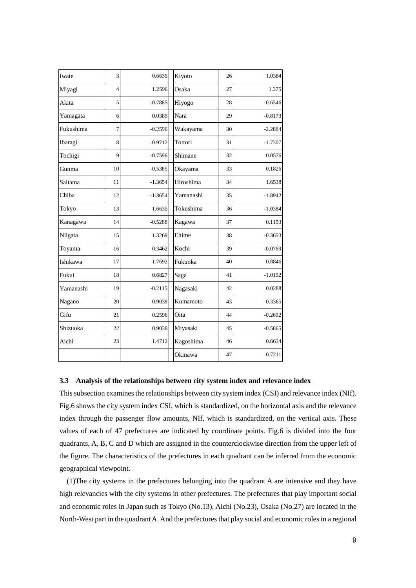| Iwate     | 3              | 0.6635    | Kiyoto    | 26 | 1.0384    |
|-----------|----------------|-----------|-----------|----|-----------|
| Miyagi    | $\overline{4}$ | 1.2596    | Osaka     | 27 | 1.375     |
| Akita     | 5              | $-0.7885$ | Hiyogo    | 28 | $-0.6346$ |
| Yamagata  | 6              | 0.0385    | Nara      | 29 | $-0.8173$ |
| Fukushima | $\overline{7}$ | $-0.2596$ | Wakayama  | 30 | $-2.2884$ |
| Ibaragi   | 8              | $-0.9712$ | Tottori   | 31 | $-1.7307$ |
| Tochigi   | 9              | $-0.7596$ | Shimane   | 32 | 0.0576    |
| Gunma     | 10             | $-0.5385$ | Okayama   | 33 | 0.1826    |
| Saitama   | 11             | $-1.3654$ | Hiroshima | 34 | 1.6538    |
| Chiba     | 12             | $-1.3654$ | Yamanashi | 35 | $-1.8942$ |
| Tokyo     | 13             | 1.6635    | Tokushima | 36 | $-1.0384$ |
| Kanagawa  | 14             | $-0.5288$ | Kagawa    | 37 | 0.1153    |
| Niigata   | 15             | 1.3269    | Ehime     | 38 | $-0.3653$ |
| Toyama    | 16             | 0.3462    | Kochi     | 39 | $-0.0769$ |
| Ishikawa  | 17             | 1.7692    | Fukuoka   | 40 | 0.8846    |
| Fukui     | 18             | 0.6827    | Saga      | 41 | $-1.0192$ |
| Yamanashi | 19             | $-0.2115$ | Nagasaki  | 42 | 0.0288    |
| Nagano    | 20             | 0.9038    | Kumamoto  | 43 | 0.3365    |
| Gifu      | 21             | 0.2596    | Oita      | 44 | $-0.2692$ |
| Shizuoka  | 22             | 0.9038    | Miyasaki  | 45 | $-0.5865$ |
| Aichi     | 23             | 1.4712    | Kagoshima | 46 | 0.6634    |
|           |                |           | Okinawa   | 47 | 0.7211    |

# **3.3 Analysis of the relationships between city system index and relevance index**

This subsection examines the relationships between city system index (CSI) and relevance index (NIf). Fig.6 shows the city system index CSI, which is standardized, on the horizontal axis and the relevance index through the passenger flow amounts, NIf, which is standardized, on the vertical axis. These values of each of 47 prefectures are indicated by coordinate points. Fig.6 is divided into the four quadrants, A, B, C and D which are assigned in the counterclockwise direction from the upper left of the figure. The characteristics of the prefectures in each quadrant can be inferred from the economic geographical viewpoint.

(1)The city systems in the prefectures belonging into the quadrant A are intensive and they have high relevancies with the city systems in other prefectures. The prefectures that play important social and economic roles in Japan such as Tokyo (No.13), Aichi (No.23), Osaka (No.27) are located in the North-West part in the quadrantA. And the prefectures that play social and economic rolesin a regional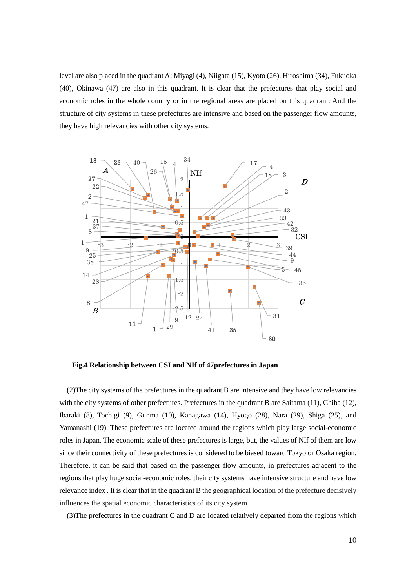level are also placed in the quadrant A; Miyagi (4), Niigata (15), Kyoto (26), Hiroshima (34), Fukuoka (40), Okinawa (47) are also in this quadrant. It is clear that the prefectures that play social and economic roles in the whole country or in the regional areas are placed on this quadrant: And the structure of city systems in these prefectures are intensive and based on the passenger flow amounts, they have high relevancies with other city systems.



**Fig.4 Relationship between CSI and NIf of 47prefectures in Japan**

(2)The city systems of the prefectures in the quadrant B are intensive and they have low relevancies with the city systems of other prefectures. Prefectures in the quadrant B are Saitama (11), Chiba (12), Ibaraki (8), Tochigi (9), Gunma (10), Kanagawa (14), Hyogo (28), Nara (29), Shiga (25), and Yamanashi (19). These prefectures are located around the regions which play large social-economic roles in Japan. The economic scale of these prefectures is large, but, the values of NIf of them are low since their connectivity of these prefectures is considered to be biased toward Tokyo or Osaka region. Therefore, it can be said that based on the passenger flow amounts, in prefectures adjacent to the regions that play huge social-economic roles, their city systems have intensive structure and have low relevance index . It is clear that in the quadrant B the geographical location of the prefecture decisively influences the spatial economic characteristics of its city system.

(3)The prefectures in the quadrant C and D are located relatively departed from the regions which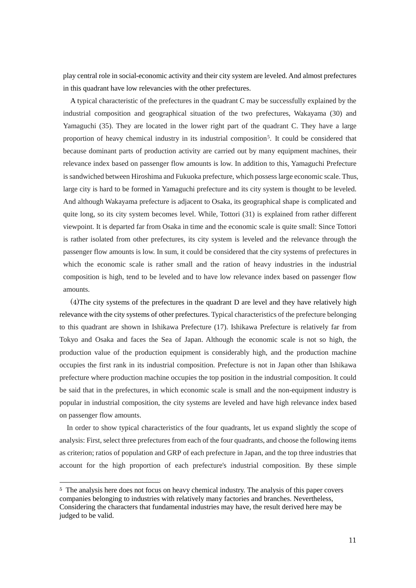play central role in social-economic activity and their city system are leveled. And almost prefectures in this quadrant have low relevancies with the other prefectures.

A typical characteristic of the prefectures in the quadrant C may be successfully explained by the industrial composition and geographical situation of the two prefectures, Wakayama (30) and Yamaguchi (35). They are located in the lower right part of the quadrant C. They have a large proportion of heavy chemical industry in its industrial composition<sup>[5](#page-11-0)</sup>. It could be considered that because dominant parts of production activity are carried out by many equipment machines, their relevance index based on passenger flow amounts is low. In addition to this, Yamaguchi Prefecture is sandwiched between Hiroshima and Fukuoka prefecture, which possesslarge economic scale. Thus, large city is hard to be formed in Yamaguchi prefecture and its city system is thought to be leveled. And although Wakayama prefecture is adjacent to Osaka, its geographical shape is complicated and quite long, so its city system becomes level. While, Tottori (31) is explained from rather different viewpoint. It is departed far from Osaka in time and the economic scale is quite small: Since Tottori is rather isolated from other prefectures, its city system is leveled and the relevance through the passenger flow amounts is low. In sum, it could be considered that the city systems of prefectures in which the economic scale is rather small and the ration of heavy industries in the industrial composition is high, tend to be leveled and to have low relevance index based on passenger flow amounts.

 (4)The city systems of the prefectures in the quadrant D are level and they have relatively high relevance with the city systems of other prefectures. Typical characteristics of the prefecture belonging to this quadrant are shown in Ishikawa Prefecture (17). Ishikawa Prefecture is relatively far from Tokyo and Osaka and faces the Sea of Japan. Although the economic scale is not so high, the production value of the production equipment is considerably high, and the production machine occupies the first rank in its industrial composition. Prefecture is not in Japan other than Ishikawa prefecture where production machine occupies the top position in the industrial composition. It could be said that in the prefectures, in which economic scale is small and the non-equipment industry is popular in industrial composition, the city systems are leveled and have high relevance index based on passenger flow amounts.

In order to show typical characteristics of the four quadrants, let us expand slightly the scope of analysis: First, select three prefectures from each of the four quadrants, and choose the following items as criterion; ratios of population and GRP of each prefecture in Japan, and the top three industries that account for the high proportion of each prefecture's industrial composition. By these simple

<span id="page-11-0"></span> <sup>5</sup> The analysis here does not focus on heavy chemical industry. The analysis of this paper covers companies belonging to industries with relatively many factories and branches. Nevertheless, Considering the characters that fundamental industries may have, the result derived here may be judged to be valid.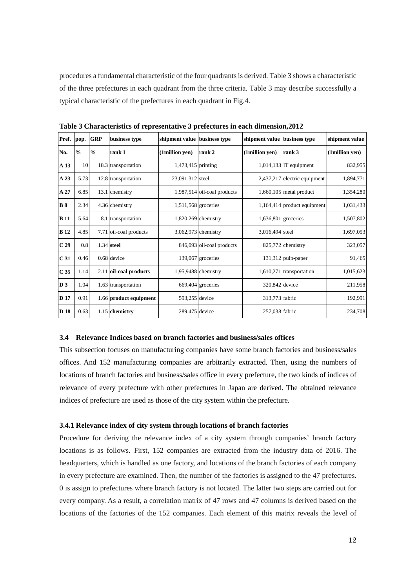procedures a fundamental characteristic of the four quadrantsis derived. Table 3 shows a characteristic of the three prefectures in each quadrant from the three criteria. Table 3 may describe successfully a typical characteristic of the prefectures in each quadrant in Fig.4.

| Pref.           | pop.          | <b>GRP</b>    | business type          | shipment value business type |                             | shipment value      | business type                 | shipment value |
|-----------------|---------------|---------------|------------------------|------------------------------|-----------------------------|---------------------|-------------------------------|----------------|
| No.             | $\frac{0}{0}$ | $\frac{0}{0}$ | rank 1                 | (1million yen)               | rank 2                      | (1million yen)      | rank 3                        | (1million yen) |
| A <sub>13</sub> | 10            |               | 18.3 transportation    | 1,473,415 printing           |                             |                     | $1,014,133$ IT equipment      | 832,955        |
| A 23            | 5.73          |               | 12.8 transportation    | 23,091,312 steel             |                             |                     | 2,437,217 electric equipment  | 1,894,771      |
| A 27            | 6.85          |               | 13.1 chemistry         |                              | 1,987,514 oil-coal products |                     | $1,660,105$ metal product     | 1,354,280      |
| <b>B</b> 8      | 2.34          |               | 4.36 chemistry         | 1,511,568 groceries          |                             |                     | $1,164,414$ product equipment | 1,031,433      |
| <b>B</b> 11     | 5.64          |               | 8.1 transportation     |                              | 1,820,269 chemistry         | 1,636,801 groceries |                               | 1,507,802      |
| <b>B</b> 12     | 4.85          |               | 7.71 oil-coal products |                              | 3,062,973 chemistry         | 3,016,494 steel     |                               | 1,697,053      |
| C <sub>29</sub> | 0.8           |               | 1.34 steel             |                              | 846,093 oil-coal products   |                     | 825,772 chemistry             | 323,057        |
| C <sub>31</sub> | 0.46          |               | 0.68 device            |                              | 139,067 groceries           |                     | $131,312$ pulp-paper          | 91,465         |
| C <sub>35</sub> | 1.14          |               | 2.11 oil-coal products |                              | 1,95,9488 chemistry         |                     | 1,610,271 transportation      | 1,015,623      |
| D <sub>3</sub>  | 1.04          |               | 1.63 transportation    |                              | 669,404 groceries           | 320,842 device      |                               | 211,958        |
| <b>D</b> 17     | 0.91          |               | 1.66 product equipment | 593,255 device               |                             | 313,773 fabric      |                               | 192,991        |
| D 18            | 0.63          |               | 1.15 chemistry         | 289,475 device               |                             | 257,038 fabric      |                               | 234,708        |

**Table 3 Characteristics of representative 3 prefectures in each dimension,2012**

### **3.4 Relevance Indices based on branch factories and business/sales offices**

This subsection focuses on manufacturing companies have some branch factories and business/sales offices. And 152 manufacturing companies are arbitrarily extracted. Then, using the numbers of locations of branch factories and business/sales office in every prefecture, the two kinds of indices of relevance of every prefecture with other prefectures in Japan are derived. The obtained relevance indices of prefecture are used as those of the city system within the prefecture.

## **3.4.1 Relevance index of city system through locations of branch factories**

Procedure for deriving the relevance index of a city system through companies' branch factory locations is as follows. First, 152 companies are extracted from the industry data of 2016. The headquarters, which is handled as one factory, and locations of the branch factories of each company in every prefecture are examined. Then, the number of the factories is assigned to the 47 prefectures. 0 is assign to prefectures where branch factory is not located. The latter two steps are carried out for every company. As a result, a correlation matrix of 47 rows and 47 columns is derived based on the locations of the factories of the 152 companies. Each element of this matrix reveals the level of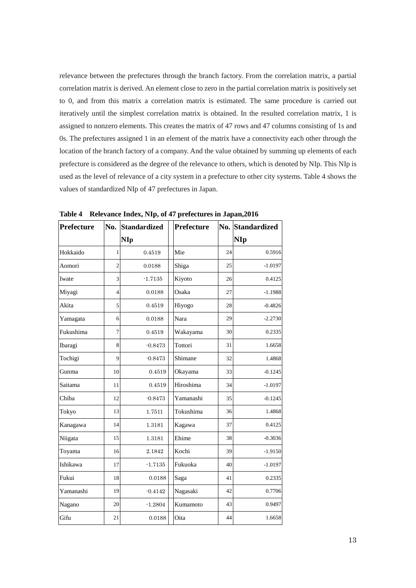relevance between the prefectures through the branch factory. From the correlation matrix, a partial correlation matrix is derived. An element close to zero in the partial correlation matrix is positively set to 0, and from this matrix a correlation matrix is estimated. The same procedure is carried out iteratively until the simplest correlation matrix is obtained. In the resulted correlation matrix, 1 is assigned to nonzero elements. This creates the matrix of 47 rows and 47 columns consisting of 1s and 0s. The prefectures assigned 1 in an element of the matrix have a connectivity each other through the location of the branch factory of a company. And the value obtained by summing up elements of each prefecture is considered as the degree of the relevance to others, which is denoted by NIp. This NIp is used as the level of relevance of a city system in a prefecture to other city systems. Table 4 shows the values of standardized NIp of 47 prefectures in Japan.

| Prefecture | No.            | <b>Standardized</b> | <b>Prefecture</b> |    | No. Standardized<br><b>NIp</b> |  |
|------------|----------------|---------------------|-------------------|----|--------------------------------|--|
|            |                | NIp                 |                   |    |                                |  |
| Hokkaido   | 1              | 0.4519              | Mie               | 24 | 0.5916                         |  |
| Aomori     | $\overline{2}$ | 0.0188              | Shiga             | 25 | $-1.0197$                      |  |
| Iwate      | 3              | $-1.7135$           | Kiyoto            | 26 | 0.4125                         |  |
| Miyagi     | $\overline{4}$ | 0.0188              | Osaka             | 27 | $-1.1988$                      |  |
| Akita      | 5              | 0.4519              | Hiyogo            | 28 | $-0.4826$                      |  |
| Yamagata   | 6              | 0.0188              | Nara              | 29 | $-2.2730$                      |  |
| Fukushima  | 7              | 0.4519              | Wakayama          | 30 | 0.2335                         |  |
| Ibaragi    | 8              | $-0.8473$           | Tottori           | 31 | 1.6658                         |  |
| Tochigi    | 9              | $-0.8473$           | Shimane           | 32 | 1.4868                         |  |
| Gunma      | 10             | 0.4519              | Okayama           | 33 | $-0.1245$                      |  |
| Saitama    | 11             | 0.4519              | Hiroshima         | 34 | $-1.0197$                      |  |
| Chiba      | 12             | $-0.8473$           | Yamanashi         | 35 | $-0.1245$                      |  |
| Tokyo      | 13             | 1.7511              | Tokushima         | 36 | 1.4868                         |  |
| Kanagawa   | 14             | 1.3181              | Kagawa            | 37 | 0.4125                         |  |
| Niigata    | 15             | 1.3181              | Ehime             | 38 | $-0.3036$                      |  |
| Toyama     | 16             | 2.1842              | Kochi             | 39 | $-1.9150$                      |  |
| Ishikawa   | 17             | $-1.7135$           | Fukuoka           | 40 | $-1.0197$                      |  |
| Fukui      | 18             | 0.0188              | Saga              | 41 | 0.2335                         |  |
| Yamanashi  | 19             | $-0.4142$           | Nagasaki          | 42 | 0.7706                         |  |
| Nagano     | 20             | $-1.2804$           | Kumamoto          | 43 | 0.9497                         |  |
| Gifu       | 21             | 0.0188              | Oita              | 44 | 1.6658                         |  |

**Table 4 Relevance Index, NIp, of 47 prefectures in Japan,2016**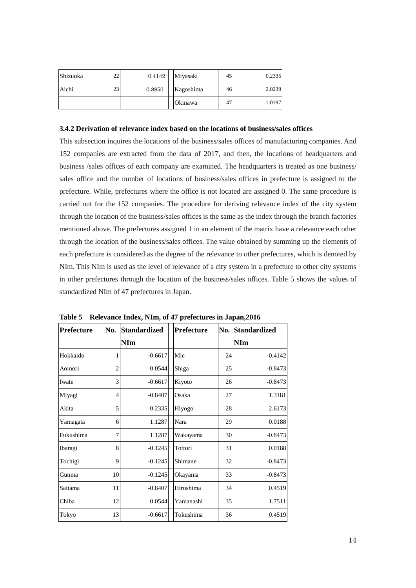| Shizuoka | 22 | $-0.4142$ | Miyasaki       | 45 | 0.2335    |
|----------|----|-----------|----------------|----|-----------|
| Aichi    | 23 | 0.8850    | Kagoshima      | 46 | 2.0239    |
|          |    |           | <b>Okinawa</b> | 47 | $-1.0197$ |

### **3.4.2 Derivation of relevance index based on the locations of business/sales offices**

This subsection inquires the locations of the business/sales offices of manufacturing companies. And 152 companies are extracted from the data of 2017, and then, the locations of headquarters and business /sales offices of each company are examined. The headquarters is treated as one business/ sales office and the number of locations of business/sales offices in prefecture is assigned to the prefecture. While, prefectures where the office is not located are assigned 0. The same procedure is carried out for the 152 companies. The procedure for deriving relevance index of the city system through the location of the business/sales offices is the same as the index through the branch factories mentioned above. The prefectures assigned 1 in an element of the matrix have a relevance each other through the location of the business/sales offices. The value obtained by summing up the elements of each prefecture is considered as the degree of the relevance to other prefectures, which is denoted by NIm. This NIm is used as the level of relevance of a city system in a prefecture to other city systems in other prefectures through the location of the business/sales offices. Table 5 shows the values of standardized NIm of 47 prefectures in Japan.

| Prefecture | No.            | <b>Standardized</b> | Prefecture |    | <b>No. Standardized</b> |
|------------|----------------|---------------------|------------|----|-------------------------|
|            |                | <b>NIm</b>          |            |    | <b>NIm</b>              |
| Hokkaido   | 1              | $-0.6617$           | Mie        | 24 | $-0.4142$               |
| Aomori     | $\overline{c}$ | 0.0544              | Shiga      | 25 | $-0.8473$               |
| Iwate      | 3              | $-0.6617$           | Kiyoto     | 26 | $-0.8473$               |
| Miyagi     | $\overline{4}$ | $-0.8407$           | Osaka      | 27 | 1.3181                  |
| Akita      | 5              | 0.2335              | Hiyogo     | 28 | 2.6173                  |
| Yamagata   | 6              | 1.1287              | Nara       | 29 | 0.0188                  |
| Fukushima  | $\overline{7}$ | 1.1287              | Wakayama   | 30 | $-0.8473$               |
| Ibaragi    | 8              | $-0.1245$           | Tottori    | 31 | 0.0188                  |
| Tochigi    | 9              | $-0.1245$           | Shimane    | 32 | $-0.8473$               |
| Gunma      | 10             | $-0.1245$           | Okayama    | 33 | $-0.8473$               |
| Saitama    | 11             | $-0.8407$           | Hiroshima  | 34 | 0.4519                  |
| Chiba      | 12             | 0.0544              | Yamanashi  | 35 | 1.7511                  |
| Tokyo      | 13             | $-0.6617$           | Tokushima  | 36 | 0.4519                  |

**Table 5 Relevance Index, NIm, of 47 prefectures in Japan,2016**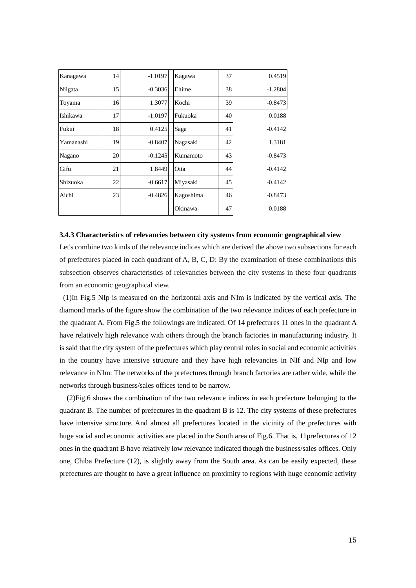| Kanagawa  | 14 | $-1.0197$ | Kagawa    | 37 | 0.4519    |
|-----------|----|-----------|-----------|----|-----------|
| Niigata   | 15 | $-0.3036$ | Ehime     | 38 | $-1.2804$ |
| Toyama    | 16 | 1.3077    | Kochi     | 39 | $-0.8473$ |
| Ishikawa  | 17 | $-1.0197$ | Fukuoka   | 40 | 0.0188    |
| Fukui     | 18 | 0.4125    | Saga      | 41 | $-0.4142$ |
| Yamanashi | 19 | $-0.8407$ | Nagasaki  | 42 | 1.3181    |
| Nagano    | 20 | $-0.1245$ | Kumamoto  | 43 | $-0.8473$ |
| Gifu      | 21 | 1.8449    | Oita      | 44 | $-0.4142$ |
| Shizuoka  | 22 | $-0.6617$ | Miyasaki  | 45 | $-0.4142$ |
| Aichi     | 23 | $-0.4826$ | Kagoshima | 46 | $-0.8473$ |
|           |    |           | Okinawa   | 47 | 0.0188    |

### **3.4.3 Characteristics of relevancies between city systems from economic geographical view**

Let's combine two kinds of the relevance indices which are derived the above two subsections for each of prefectures placed in each quadrant of A, B, C, D: By the examination of these combinations this subsection observes characteristics of relevancies between the city systems in these four quadrants from an economic geographical view.

(1)In Fig.5 NIp is measured on the horizontal axis and NIm is indicated by the vertical axis. The diamond marks of the figure show the combination of the two relevance indices of each prefecture in the quadrant A. From Fig.5 the followings are indicated. Of 14 prefectures 11 ones in the quadrant A have relatively high relevance with others through the branch factories in manufacturing industry. It is said that the city system of the prefectures which play central roles in social and economic activities in the country have intensive structure and they have high relevancies in NIf and NIp and low relevance in NIm: The networks of the prefectures through branch factories are rather wide, while the networks through business/sales offices tend to be narrow.

(2)Fig.6 shows the combination of the two relevance indices in each prefecture belonging to the quadrant B. The number of prefectures in the quadrant B is 12. The city systems of these prefectures have intensive structure. And almost all prefectures located in the vicinity of the prefectures with huge social and economic activities are placed in the South area of Fig.6. That is, 11prefectures of 12 ones in the quadrant B have relatively low relevance indicated though the business/sales offices. Only one, Chiba Prefecture (12), is slightly away from the South area. As can be easily expected, these prefectures are thought to have a great influence on proximity to regions with huge economic activity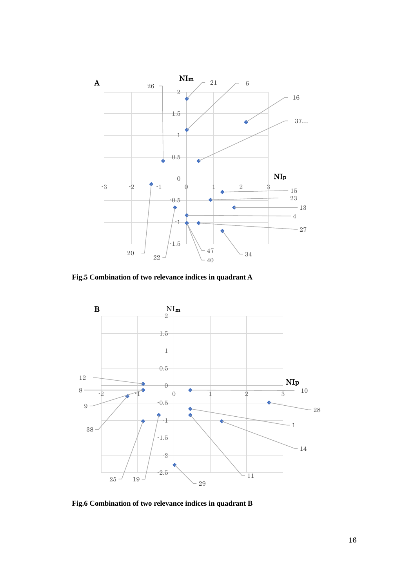

**Fig.5 Combination of two relevance indices in quadrant A**



**Fig.6 Combination of two relevance indices in quadrant B**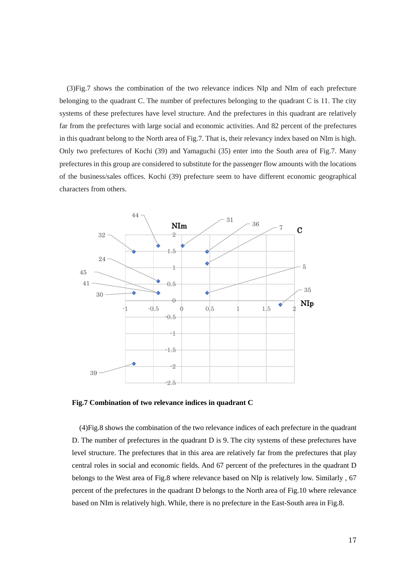(3)Fig.7 shows the combination of the two relevance indices NIp and NIm of each prefecture belonging to the quadrant C. The number of prefectures belonging to the quadrant C is 11. The city systems of these prefectures have level structure. And the prefectures in this quadrant are relatively far from the prefectures with large social and economic activities. And 82 percent of the prefectures in this quadrant belong to the North area of Fig.7. That is, their relevancy index based on NIm is high. Only two prefectures of Kochi (39) and Yamaguchi (35) enter into the South area of Fig.7. Many prefectures in this group are considered to substitute for the passenger flow amounts with the locations of the business/sales offices. Kochi (39) prefecture seem to have different economic geographical characters from others.



**Fig.7 Combination of two relevance indices in quadrant C**

(4)Fig.8 shows the combination of the two relevance indices of each prefecture in the quadrant D. The number of prefectures in the quadrant D is 9. The city systems of these prefectures have level structure. The prefectures that in this area are relatively far from the prefectures that play central roles in social and economic fields. And 67 percent of the prefectures in the quadrant D belongs to the West area of Fig.8 where relevance based on NIp is relatively low. Similarly , 67 percent of the prefectures in the quadrant D belongs to the North area of Fig.10 where relevance based on NIm is relatively high. While, there is no prefecture in the East-South area in Fig.8.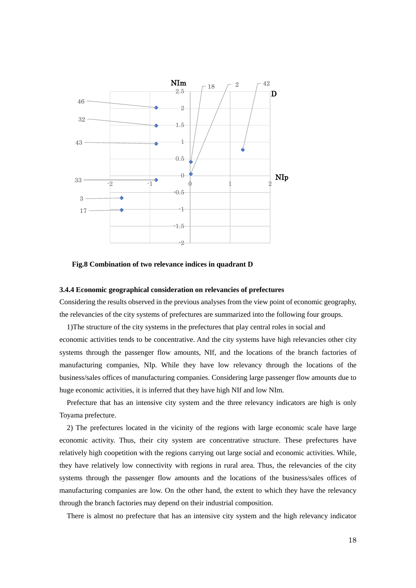

### **Fig.8 Combination of two relevance indices in quadrant D**

### **3.4.4 Economic geographical consideration on relevancies of prefectures**

Considering the results observed in the previous analyses from the view point of economic geography, the relevancies of the city systems of prefectures are summarized into the following four groups.

1)The structure of the city systems in the prefectures that play central roles in social and economic activities tends to be concentrative. And the city systems have high relevancies other city systems through the passenger flow amounts, NIf, and the locations of the branch factories of manufacturing companies, NIp. While they have low relevancy through the locations of the business/sales offices of manufacturing companies. Considering large passenger flow amounts due to huge economic activities, it is inferred that they have high NIf and low NIm.

Prefecture that has an intensive city system and the three relevancy indicators are high is only Toyama prefecture.

2) The prefectures located in the vicinity of the regions with large economic scale have large economic activity. Thus, their city system are concentrative structure. These prefectures have relatively high coopetition with the regions carrying out large social and economic activities. While, they have relatively low connectivity with regions in rural area. Thus, the relevancies of the city systems through the passenger flow amounts and the locations of the business/sales offices of manufacturing companies are low. On the other hand, the extent to which they have the relevancy through the branch factories may depend on their industrial composition.

There is almost no prefecture that has an intensive city system and the high relevancy indicator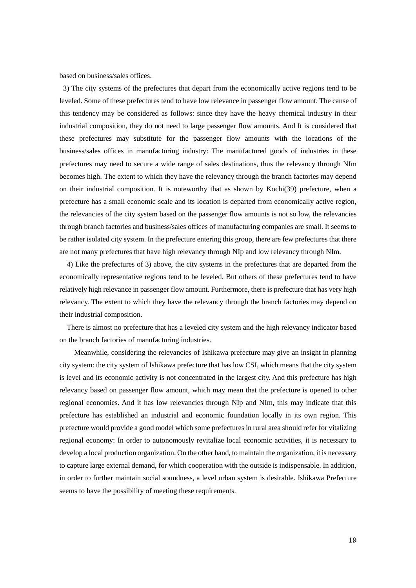based on business/sales offices.

3) The city systems of the prefectures that depart from the economically active regions tend to be leveled. Some of these prefectures tend to have low relevance in passenger flow amount. The cause of this tendency may be considered as follows: since they have the heavy chemical industry in their industrial composition, they do not need to large passenger flow amounts. And It is considered that these prefectures may substitute for the passenger flow amounts with the locations of the business/sales offices in manufacturing industry: The manufactured goods of industries in these prefectures may need to secure a wide range of sales destinations, thus the relevancy through NIm becomes high. The extent to which they have the relevancy through the branch factories may depend on their industrial composition. It is noteworthy that as shown by Kochi(39) prefecture, when a prefecture has a small economic scale and its location is departed from economically active region, the relevancies of the city system based on the passenger flow amounts is not so low, the relevancies through branch factories and business/sales offices of manufacturing companies are small. It seems to be rather isolated city system. In the prefecture entering this group, there are few prefectures that there are not many prefectures that have high relevancy through NIp and low relevancy through NIm.

4) Like the prefectures of 3) above, the city systems in the prefectures that are departed from the economically representative regions tend to be leveled. But others of these prefectures tend to have relatively high relevance in passenger flow amount. Furthermore, there is prefecture that has very high relevancy. The extent to which they have the relevancy through the branch factories may depend on their industrial composition.

There is almost no prefecture that has a leveled city system and the high relevancy indicator based on the branch factories of manufacturing industries.

Meanwhile, considering the relevancies of Ishikawa prefecture may give an insight in planning city system: the city system of Ishikawa prefecture that has low CSI, which means that the city system is level and its economic activity is not concentrated in the largest city. And this prefecture has high relevancy based on passenger flow amount, which may mean that the prefecture is opened to other regional economies. And it has low relevancies through NIp and NIm, this may indicate that this prefecture has established an industrial and economic foundation locally in its own region. This prefecture would provide a good model which some prefectures in rural area should refer for vitalizing regional economy: In order to autonomously revitalize local economic activities, it is necessary to develop a local production organization. On the other hand, to maintain the organization, it is necessary to capture large external demand, for which cooperation with the outside is indispensable. In addition, in order to further maintain social soundness, a level urban system is desirable. Ishikawa Prefecture seems to have the possibility of meeting these requirements.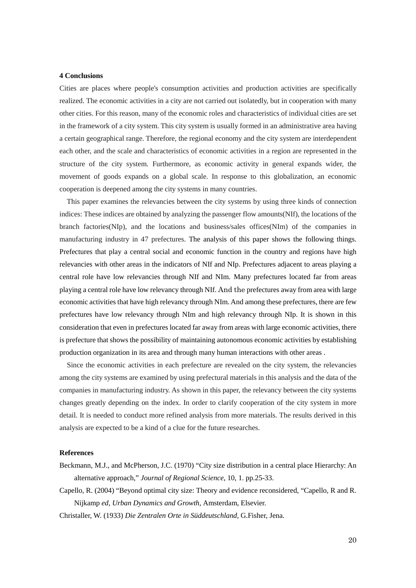### **4 Conclusions**

Cities are places where people's consumption activities and production activities are specifically realized. The economic activities in a city are not carried out isolatedly, but in cooperation with many other cities. For this reason, many of the economic roles and characteristics of individual cities are set in the framework of a city system. This city system is usually formed in an administrative area having a certain geographical range. Therefore, the regional economy and the city system are interdependent each other, and the scale and characteristics of economic activities in a region are represented in the structure of the city system. Furthermore, as economic activity in general expands wider, the movement of goods expands on a global scale. In response to this globalization, an economic cooperation is deepened among the city systems in many countries.

This paper examines the relevancies between the city systems by using three kinds of connection indices: These indices are obtained by analyzing the passenger flow amounts(NIf), the locations of the branch factories(NIp), and the locations and business/sales offices(NIm) of the companies in manufacturing industry in 47 prefectures. The analysis of this paper shows the following things. Prefectures that play a central social and economic function in the country and regions have high relevancies with other areas in the indicators of NIf and NIp. Prefectures adjacent to areas playing a central role have low relevancies through NIf and NIm. Many prefectures located far from areas playing a central role have low relevancy through NIf. And the prefectures away from area with large economic activities that have high relevancy through NIm. And among these prefectures, there are few prefectures have low relevancy through NIm and high relevancy through NIp. It is shown in this consideration that even in prefectures located far away from areas with large economic activities, there is prefecture that shows the possibility of maintaining autonomous economic activities by establishing production organization in its area and through many human interactions with other areas .

Since the economic activities in each prefecture are revealed on the city system, the relevancies among the city systems are examined by using prefectural materials in this analysis and the data of the companies in manufacturing industry. As shown in this paper, the relevancy between the city systems changes greatly depending on the index. In order to clarify cooperation of the city system in more detail. It is needed to conduct more refined analysis from more materials. The results derived in this analysis are expected to be a kind of a clue for the future researches.

### **References**

- Beckmann, M.J., and McPherson, J.C. (1970) "City size distribution in a central place Hierarchy: An alternative approach," *Journal of Regional Science*, 10, 1. pp.25-33.
- Capello, R. (2004) "Beyond optimal city size: Theory and evidence reconsidered, "Capello, R and R. Nijkamp *ed*, *Urban Dynamics and Growth,* Amsterdam, Elsevier.

Christaller, W. (1933) *Die Zentralen Orte in Süddeutschland,* G.Fisher, Jena.